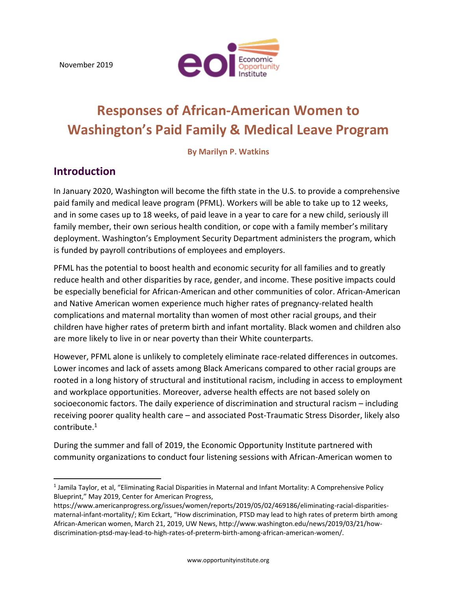November 2019



# **Responses of African-American Women to Washington's Paid Family & Medical Leave Program**

**By Marilyn P. Watkins**

### **Introduction**

l

In January 2020, Washington will become the fifth state in the U.S. to provide a comprehensive paid family and medical leave program (PFML). Workers will be able to take up to 12 weeks, and in some cases up to 18 weeks, of paid leave in a year to care for a new child, seriously ill family member, their own serious health condition, or cope with a family member's military deployment. Washington's Employment Security Department administers the program, which is funded by payroll contributions of employees and employers.

PFML has the potential to boost health and economic security for all families and to greatly reduce health and other disparities by race, gender, and income. These positive impacts could be especially beneficial for African-American and other communities of color. African-American and Native American women experience much higher rates of pregnancy-related health complications and maternal mortality than women of most other racial groups, and their children have higher rates of preterm birth and infant mortality. Black women and children also are more likely to live in or near poverty than their White counterparts.

However, PFML alone is unlikely to completely eliminate race-related differences in outcomes. Lower incomes and lack of assets among Black Americans compared to other racial groups are rooted in a long history of structural and institutional racism, including in access to employment and workplace opportunities. Moreover, adverse health effects are not based solely on socioeconomic factors. The daily experience of discrimination and structural racism – including receiving poorer quality health care – and associated Post-Traumatic Stress Disorder, likely also contribute.<sup>1</sup>

During the summer and fall of 2019, the Economic Opportunity Institute partnered with community organizations to conduct four listening sessions with African-American women to

<sup>1</sup> Jamila Taylor, et al, "Eliminating Racial Disparities in Maternal and Infant Mortality: A Comprehensive Policy Blueprint," May 2019, Center for American Progress,

[https://www.americanprogress.org/issues/women/reports/2019/05/02/469186/eliminating-racial-disparities](https://www.americanprogress.org/issues/women/reports/2019/05/02/469186/eliminating-racial-disparities-maternal-infant-mortality/)[maternal-infant-mortality/](https://www.americanprogress.org/issues/women/reports/2019/05/02/469186/eliminating-racial-disparities-maternal-infant-mortality/); Kim Eckart, "How discrimination, PTSD may lead to high rates of preterm birth among African-American women, March 21, 2019, UW News, http://www.washington.edu/news/2019/03/21/howdiscrimination-ptsd-may-lead-to-high-rates-of-preterm-birth-among-african-american-women/.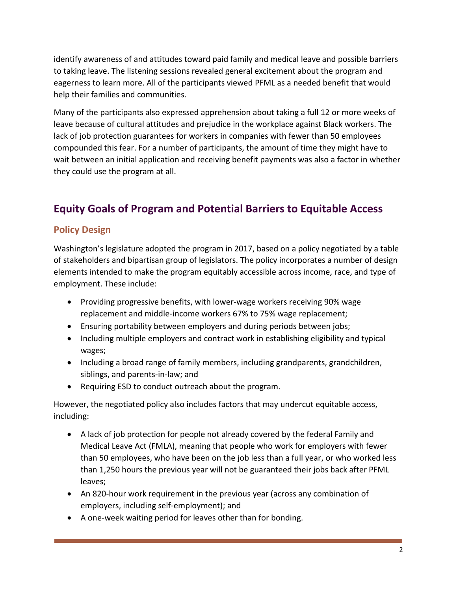identify awareness of and attitudes toward paid family and medical leave and possible barriers to taking leave. The listening sessions revealed general excitement about the program and eagerness to learn more. All of the participants viewed PFML as a needed benefit that would help their families and communities.

Many of the participants also expressed apprehension about taking a full 12 or more weeks of leave because of cultural attitudes and prejudice in the workplace against Black workers. The lack of job protection guarantees for workers in companies with fewer than 50 employees compounded this fear. For a number of participants, the amount of time they might have to wait between an initial application and receiving benefit payments was also a factor in whether they could use the program at all.

# **Equity Goals of Program and Potential Barriers to Equitable Access**

#### **Policy Design**

Washington's legislature adopted the program in 2017, based on a policy negotiated by a table of stakeholders and bipartisan group of legislators. The policy incorporates a number of design elements intended to make the program equitably accessible across income, race, and type of employment. These include:

- Providing progressive benefits, with lower-wage workers receiving 90% wage replacement and middle-income workers 67% to 75% wage replacement;
- Ensuring portability between employers and during periods between jobs;
- Including multiple employers and contract work in establishing eligibility and typical wages;
- Including a broad range of family members, including grandparents, grandchildren, siblings, and parents-in-law; and
- Requiring ESD to conduct outreach about the program.

However, the negotiated policy also includes factors that may undercut equitable access, including:

- A lack of job protection for people not already covered by the federal Family and Medical Leave Act (FMLA), meaning that people who work for employers with fewer than 50 employees, who have been on the job less than a full year, or who worked less than 1,250 hours the previous year will not be guaranteed their jobs back after PFML leaves;
- An 820-hour work requirement in the previous year (across any combination of employers, including self-employment); and
- A one-week waiting period for leaves other than for bonding.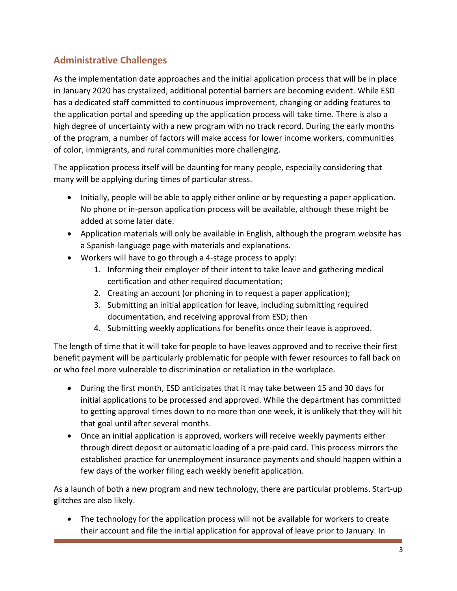## **Administrative Challenges**

As the implementation date approaches and the initial application process that will be in place in January 2020 has crystalized, additional potential barriers are becoming evident. While ESD has a dedicated staff committed to continuous improvement, changing or adding features to the application portal and speeding up the application process will take time. There is also a high degree of uncertainty with a new program with no track record. During the early months of the program, a number of factors will make access for lower income workers, communities of color, immigrants, and rural communities more challenging.

The application process itself will be daunting for many people, especially considering that many will be applying during times of particular stress.

- Initially, people will be able to apply either online or by requesting a paper application. No phone or in-person application process will be available, although these might be added at some later date.
- Application materials will only be available in English, although the program website has a Spanish-language page with materials and explanations.
- Workers will have to go through a 4-stage process to apply:
	- 1. Informing their employer of their intent to take leave and gathering medical certification and other required documentation;
	- 2. Creating an account (or phoning in to request a paper application);
	- 3. Submitting an initial application for leave, including submitting required documentation, and receiving approval from ESD; then
	- 4. Submitting weekly applications for benefits once their leave is approved.

The length of time that it will take for people to have leaves approved and to receive their first benefit payment will be particularly problematic for people with fewer resources to fall back on or who feel more vulnerable to discrimination or retaliation in the workplace.

- During the first month, ESD anticipates that it may take between 15 and 30 days for initial applications to be processed and approved. While the department has committed to getting approval times down to no more than one week, it is unlikely that they will hit that goal until after several months.
- Once an initial application is approved, workers will receive weekly payments either through direct deposit or automatic loading of a pre-paid card. This process mirrors the established practice for unemployment insurance payments and should happen within a few days of the worker filing each weekly benefit application.

As a launch of both a new program and new technology, there are particular problems. Start-up glitches are also likely.

• The technology for the application process will not be available for workers to create their account and file the initial application for approval of leave prior to January. In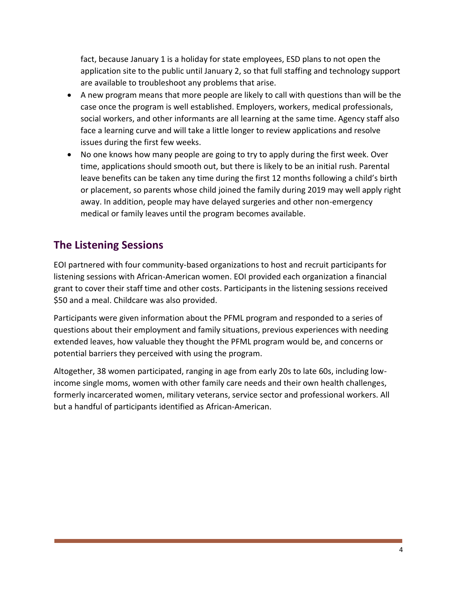fact, because January 1 is a holiday for state employees, ESD plans to not open the application site to the public until January 2, so that full staffing and technology support are available to troubleshoot any problems that arise.

- A new program means that more people are likely to call with questions than will be the case once the program is well established. Employers, workers, medical professionals, social workers, and other informants are all learning at the same time. Agency staff also face a learning curve and will take a little longer to review applications and resolve issues during the first few weeks.
- No one knows how many people are going to try to apply during the first week. Over time, applications should smooth out, but there is likely to be an initial rush. Parental leave benefits can be taken any time during the first 12 months following a child's birth or placement, so parents whose child joined the family during 2019 may well apply right away. In addition, people may have delayed surgeries and other non-emergency medical or family leaves until the program becomes available.

# **The Listening Sessions**

EOI partnered with four community-based organizations to host and recruit participants for listening sessions with African-American women. EOI provided each organization a financial grant to cover their staff time and other costs. Participants in the listening sessions received \$50 and a meal. Childcare was also provided.

Participants were given information about the PFML program and responded to a series of questions about their employment and family situations, previous experiences with needing extended leaves, how valuable they thought the PFML program would be, and concerns or potential barriers they perceived with using the program.

Altogether, 38 women participated, ranging in age from early 20s to late 60s, including lowincome single moms, women with other family care needs and their own health challenges, formerly incarcerated women, military veterans, service sector and professional workers. All but a handful of participants identified as African-American.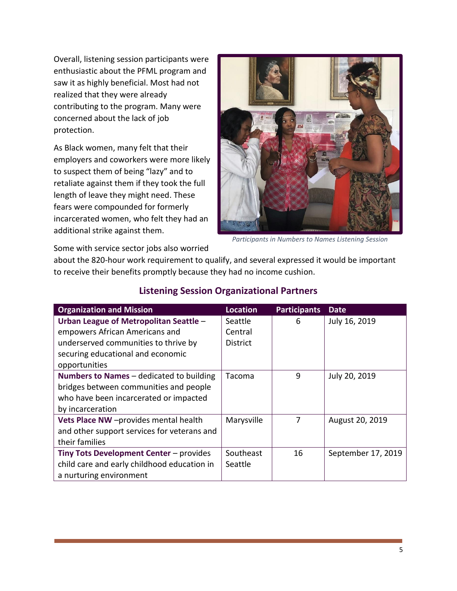Overall, listening session participants were enthusiastic about the PFML program and saw it as highly beneficial. Most had not realized that they were already contributing to the program. Many were concerned about the lack of job protection.

As Black women, many felt that their employers and coworkers were more likely to suspect them of being "lazy" and to retaliate against them if they took the full length of leave they might need. These fears were compounded for formerly incarcerated women, who felt they had an additional strike against them.



*Participants in Numbers to Names Listening Session*

Some with service sector jobs also worried

about the 820-hour work requirement to qualify, and several expressed it would be important to receive their benefits promptly because they had no income cushion.

| <b>Organization and Mission</b>             | <b>Location</b> | <b>Participants</b> | Date               |
|---------------------------------------------|-----------------|---------------------|--------------------|
| Urban League of Metropolitan Seattle -      | Seattle         | 6                   | July 16, 2019      |
| empowers African Americans and              | Central         |                     |                    |
| underserved communities to thrive by        | <b>District</b> |                     |                    |
| securing educational and economic           |                 |                     |                    |
| opportunities                               |                 |                     |                    |
| Numbers to Names - dedicated to building    | Tacoma          | 9                   | July 20, 2019      |
| bridges between communities and people      |                 |                     |                    |
| who have been incarcerated or impacted      |                 |                     |                    |
| by incarceration                            |                 |                     |                    |
| Vets Place NW -provides mental health       | Marysville      | 7                   | August 20, 2019    |
| and other support services for veterans and |                 |                     |                    |
| their families                              |                 |                     |                    |
| Tiny Tots Development Center - provides     | Southeast       | 16                  | September 17, 2019 |
| child care and early childhood education in | Seattle         |                     |                    |
| a nurturing environment                     |                 |                     |                    |

#### **Listening Session Organizational Partners**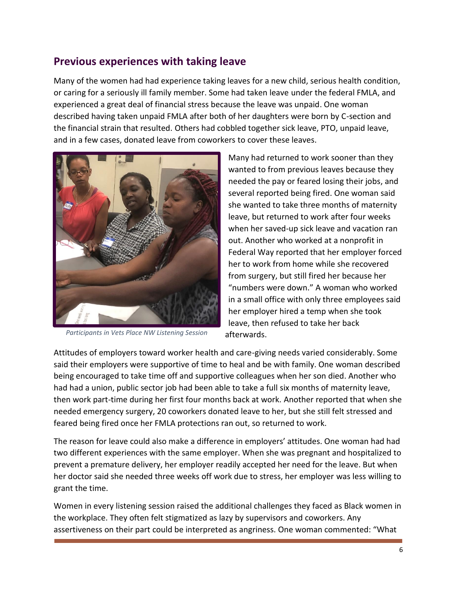## **Previous experiences with taking leave**

Many of the women had had experience taking leaves for a new child, serious health condition, or caring for a seriously ill family member. Some had taken leave under the federal FMLA, and experienced a great deal of financial stress because the leave was unpaid. One woman described having taken unpaid FMLA after both of her daughters were born by C-section and the financial strain that resulted. Others had cobbled together sick leave, PTO, unpaid leave, and in a few cases, donated leave from coworkers to cover these leaves.



*Participants in Vets Place NW Listening Session*

Many had returned to work sooner than they wanted to from previous leaves because they needed the pay or feared losing their jobs, and several reported being fired. One woman said she wanted to take three months of maternity leave, but returned to work after four weeks when her saved-up sick leave and vacation ran out. Another who worked at a nonprofit in Federal Way reported that her employer forced her to work from home while she recovered from surgery, but still fired her because her "numbers were down." A woman who worked in a small office with only three employees said her employer hired a temp when she took leave, then refused to take her back afterwards.

Attitudes of employers toward worker health and care-giving needs varied considerably. Some said their employers were supportive of time to heal and be with family. One woman described being encouraged to take time off and supportive colleagues when her son died. Another who had had a union, public sector job had been able to take a full six months of maternity leave, then work part-time during her first four months back at work. Another reported that when she needed emergency surgery, 20 coworkers donated leave to her, but she still felt stressed and feared being fired once her FMLA protections ran out, so returned to work.

The reason for leave could also make a difference in employers' attitudes. One woman had had two different experiences with the same employer. When she was pregnant and hospitalized to prevent a premature delivery, her employer readily accepted her need for the leave. But when her doctor said she needed three weeks off work due to stress, her employer was less willing to grant the time.

Women in every listening session raised the additional challenges they faced as Black women in the workplace. They often felt stigmatized as lazy by supervisors and coworkers. Any assertiveness on their part could be interpreted as angriness. One woman commented: "What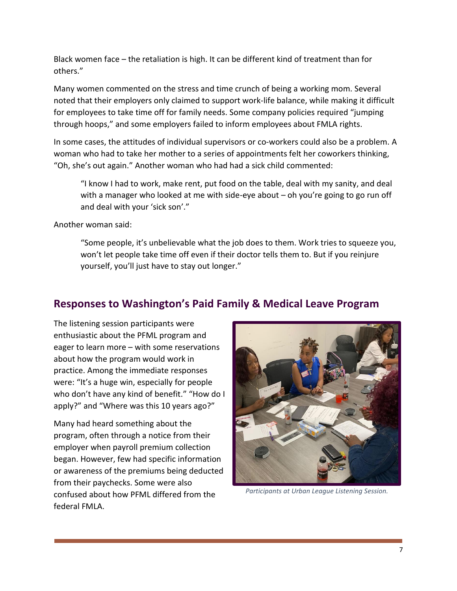Black women face – the retaliation is high. It can be different kind of treatment than for others."

Many women commented on the stress and time crunch of being a working mom. Several noted that their employers only claimed to support work-life balance, while making it difficult for employees to take time off for family needs. Some company policies required "jumping through hoops," and some employers failed to inform employees about FMLA rights.

In some cases, the attitudes of individual supervisors or co-workers could also be a problem. A woman who had to take her mother to a series of appointments felt her coworkers thinking, "Oh, she's out again." Another woman who had had a sick child commented:

"I know I had to work, make rent, put food on the table, deal with my sanity, and deal with a manager who looked at me with side-eye about – oh you're going to go run off and deal with your 'sick son'."

Another woman said:

"Some people, it's unbelievable what the job does to them. Work tries to squeeze you, won't let people take time off even if their doctor tells them to. But if you reinjure yourself, you'll just have to stay out longer."

# **Responses to Washington's Paid Family & Medical Leave Program**

The listening session participants were enthusiastic about the PFML program and eager to learn more – with some reservations about how the program would work in practice. Among the immediate responses were: "It's a huge win, especially for people who don't have any kind of benefit." "How do I apply?" and "Where was this 10 years ago?"

Many had heard something about the program, often through a notice from their employer when payroll premium collection began. However, few had specific information or awareness of the premiums being deducted from their paychecks. Some were also confused about how PFML differed from the federal FMLA.



*Participants at Urban League Listening Session.*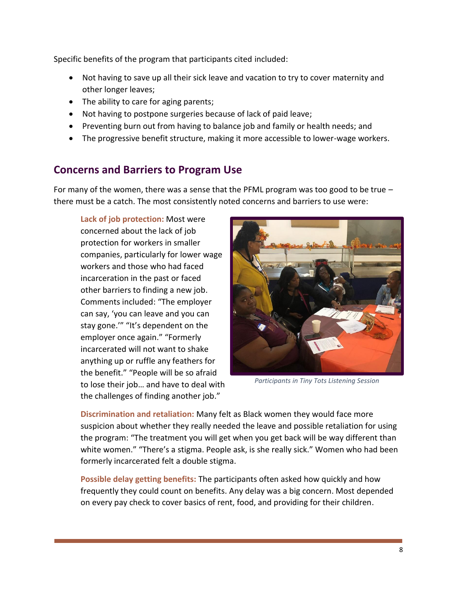Specific benefits of the program that participants cited included:

- Not having to save up all their sick leave and vacation to try to cover maternity and other longer leaves;
- The ability to care for aging parents;
- Not having to postpone surgeries because of lack of paid leave;
- Preventing burn out from having to balance job and family or health needs; and
- The progressive benefit structure, making it more accessible to lower-wage workers.

## **Concerns and Barriers to Program Use**

For many of the women, there was a sense that the PFML program was too good to be true  $$ there must be a catch. The most consistently noted concerns and barriers to use were:

**Lack of job protection:** Most were concerned about the lack of job protection for workers in smaller companies, particularly for lower wage workers and those who had faced incarceration in the past or faced other barriers to finding a new job. Comments included: "The employer can say, 'you can leave and you can stay gone.'" "It's dependent on the employer once again." "Formerly incarcerated will not want to shake anything up or ruffle any feathers for the benefit." "People will be so afraid to lose their job… and have to deal with the challenges of finding another job."



*Participants in Tiny Tots Listening Session*

**Discrimination and retaliation:** Many felt as Black women they would face more suspicion about whether they really needed the leave and possible retaliation for using the program: "The treatment you will get when you get back will be way different than white women." "There's a stigma. People ask, is she really sick." Women who had been formerly incarcerated felt a double stigma.

**Possible delay getting benefits:** The participants often asked how quickly and how frequently they could count on benefits. Any delay was a big concern. Most depended on every pay check to cover basics of rent, food, and providing for their children.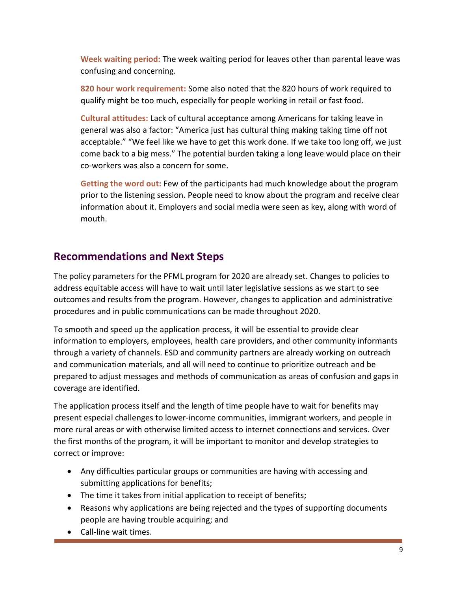**Week waiting period:** The week waiting period for leaves other than parental leave was confusing and concerning.

**820 hour work requirement:** Some also noted that the 820 hours of work required to qualify might be too much, especially for people working in retail or fast food.

**Cultural attitudes:** Lack of cultural acceptance among Americans for taking leave in general was also a factor: "America just has cultural thing making taking time off not acceptable." "We feel like we have to get this work done. If we take too long off, we just come back to a big mess." The potential burden taking a long leave would place on their co-workers was also a concern for some.

**Getting the word out:** Few of the participants had much knowledge about the program prior to the listening session. People need to know about the program and receive clear information about it. Employers and social media were seen as key, along with word of mouth.

## **Recommendations and Next Steps**

The policy parameters for the PFML program for 2020 are already set. Changes to policies to address equitable access will have to wait until later legislative sessions as we start to see outcomes and results from the program. However, changes to application and administrative procedures and in public communications can be made throughout 2020.

To smooth and speed up the application process, it will be essential to provide clear information to employers, employees, health care providers, and other community informants through a variety of channels. ESD and community partners are already working on outreach and communication materials, and all will need to continue to prioritize outreach and be prepared to adjust messages and methods of communication as areas of confusion and gaps in coverage are identified.

The application process itself and the length of time people have to wait for benefits may present especial challenges to lower-income communities, immigrant workers, and people in more rural areas or with otherwise limited access to internet connections and services. Over the first months of the program, it will be important to monitor and develop strategies to correct or improve:

- Any difficulties particular groups or communities are having with accessing and submitting applications for benefits;
- The time it takes from initial application to receipt of benefits;
- Reasons why applications are being rejected and the types of supporting documents people are having trouble acquiring; and
- Call-line wait times.